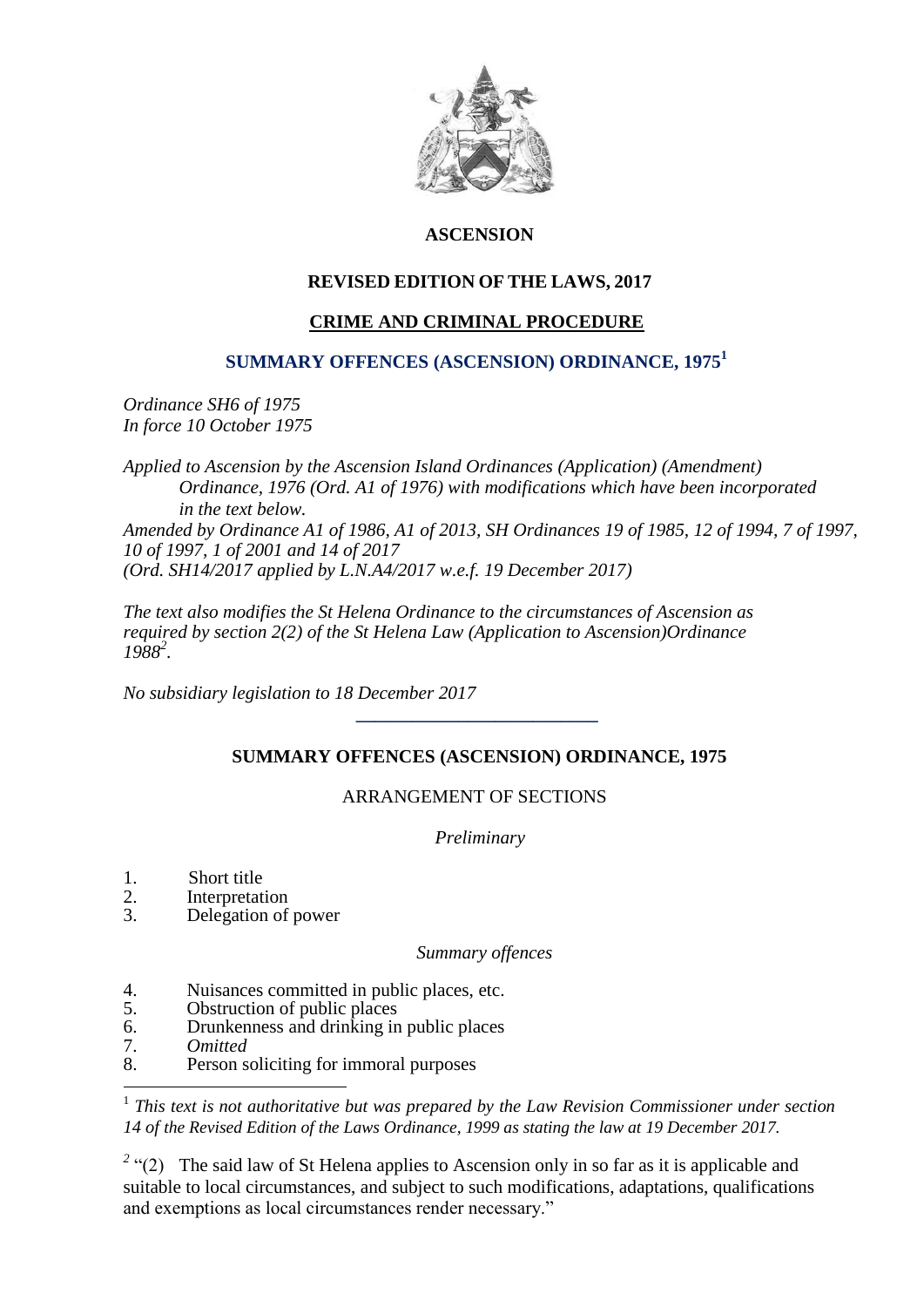

# **ASCENSION**

# **REVISED EDITION OF THE LAWS, 2017**

# **CRIME AND CRIMINAL PROCEDURE**

## **SUMMARY OFFENCES (ASCENSION) ORDINANCE, 1975<sup>1</sup>**

*Ordinance SH6 of 1975 In force 10 October 1975*

*Applied to Ascension by the Ascension Island Ordinances (Application) (Amendment) Ordinance, 1976 (Ord. A1 of 1976) with modifications which have been incorporated in the text below. Amended by Ordinance A1 of 1986, A1 of 2013, SH Ordinances 19 of 1985, 12 of 1994, 7 of 1997, 10 of 1997, 1 of 2001 and 14 of 2017 (Ord. SH14/2017 applied by L.N.A4/2017 w.e.f. 19 December 2017)*

*The text also modifies the St Helena Ordinance to the circumstances of Ascension as required by section 2(2) of the St Helena Law (Application to Ascension)Ordinance 1988<sup>2</sup> .*

*No subsidiary legislation to 18 December 2017*

 **\_\_\_\_\_\_\_\_\_\_\_\_\_\_\_\_\_\_\_\_\_\_\_\_\_\_** 

# **SUMMARY OFFENCES (ASCENSION) ORDINANCE, 1975**

# ARRANGEMENT OF SECTIONS

 *Preliminary*

- 1. Short title
- 2. Interpretation
- 3. Delegation of power

 *Summary offences*

- 4. Nuisances committed in public places, etc.
- 5. Obstruction of public places
- 6. Drunkenness and drinking in public places
- 7. *Omitted*

1

8. Person soliciting for immoral purposes

<sup>1</sup> This text is not authoritative but was prepared by the Law Revision Commissioner under section *14 of the Revised Edition of the Laws Ordinance, 1999 as stating the law at 19 December 2017.*

<sup>2</sup> "(2) The said law of St Helena applies to Ascension only in so far as it is applicable and suitable to local circumstances, and subject to such modifications, adaptations, qualifications and exemptions as local circumstances render necessary."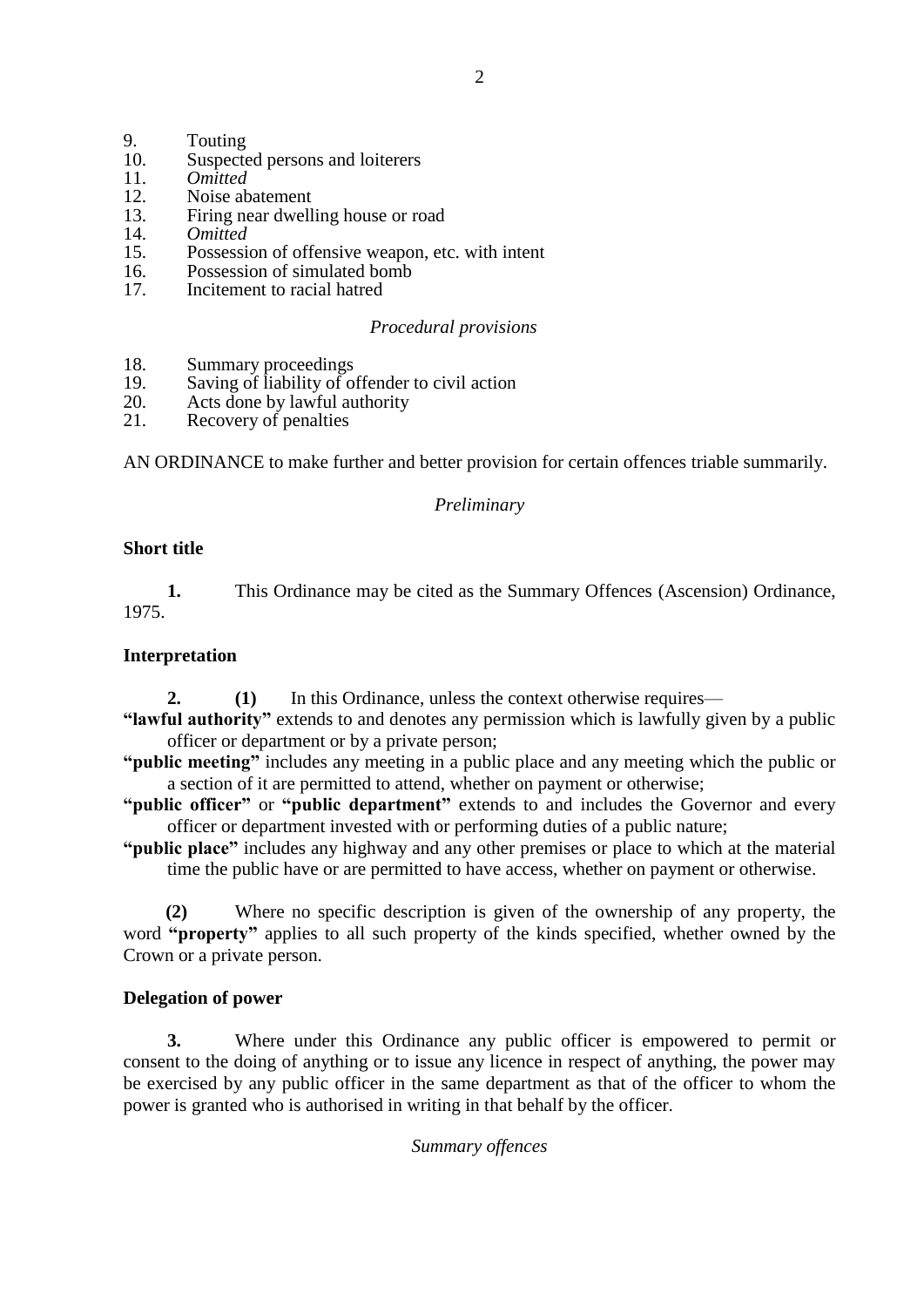- 9. Touting<br>10. Suspecte
- 10. Suspected persons and loiterers<br>11. Omitted
- 11. *Omitted*
- 12. Noise abatement<br>13 Firing pear dwell
- 13. Firing near dwelling house or road
- 14. *Omitted*
- Possession of offensive weapon, etc. with intent
- 16. Possession of simulated bomb<br>17 Incitement to racial hatted
- Incitement to racial hatred

## *Procedural provisions*

- 18. Summary proceedings<br>19. Saving of liability of o
- 19. Saving of liability of offender to civil action<br>20. Acts done by lawful authority
- 20. Acts done by lawful authority<br>21. Recovery of penalties
- Recovery of penalties

AN ORDINANCE to make further and better provision for certain offences triable summarily.

# *Preliminary*

## **Short title**

**1.** This Ordinance may be cited as the Summary Offences (Ascension) Ordinance, 1975.

## **Interpretation**

- **2. (1)** In this Ordinance, unless the context otherwise requires—
- **"lawful authority"** extends to and denotes any permission which is lawfully given by a public officer or department or by a private person;
- **"public meeting"** includes any meeting in a public place and any meeting which the public or a section of it are permitted to attend, whether on payment or otherwise;
- **"public officer"** or **"public department"** extends to and includes the Governor and every officer or department invested with or performing duties of a public nature;
- **"public place"** includes any highway and any other premises or place to which at the material time the public have or are permitted to have access, whether on payment or otherwise.

**(2)** Where no specific description is given of the ownership of any property, the word **"property"** applies to all such property of the kinds specified, whether owned by the Crown or a private person.

# **Delegation of power**

**3.** Where under this Ordinance any public officer is empowered to permit or consent to the doing of anything or to issue any licence in respect of anything, the power may be exercised by any public officer in the same department as that of the officer to whom the power is granted who is authorised in writing in that behalf by the officer.

### *Summary offences*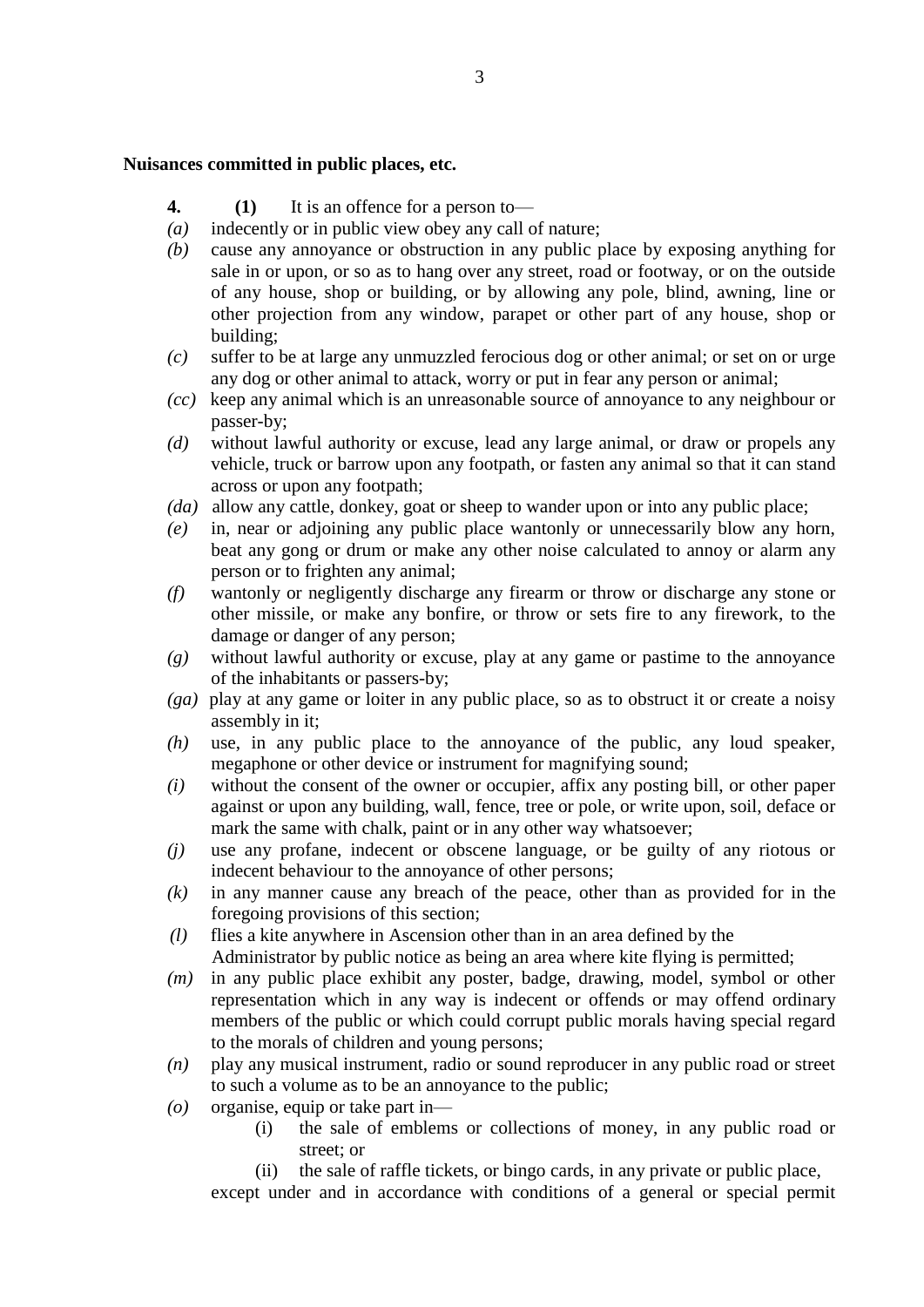#### **Nuisances committed in public places, etc.**

- **4. (1)** It is an offence for a person to—
- *(a)* indecently or in public view obey any call of nature;
- *(b)* cause any annoyance or obstruction in any public place by exposing anything for sale in or upon, or so as to hang over any street, road or footway, or on the outside of any house, shop or building, or by allowing any pole, blind, awning, line or other projection from any window, parapet or other part of any house, shop or building;
- *(c)* suffer to be at large any unmuzzled ferocious dog or other animal; or set on or urge any dog or other animal to attack, worry or put in fear any person or animal;
- *(cc)* keep any animal which is an unreasonable source of annoyance to any neighbour or passer-by;
- *(d)* without lawful authority or excuse, lead any large animal, or draw or propels any vehicle, truck or barrow upon any footpath, or fasten any animal so that it can stand across or upon any footpath;
- *(da)* allow any cattle, donkey, goat or sheep to wander upon or into any public place;
- *(e)* in, near or adjoining any public place wantonly or unnecessarily blow any horn, beat any gong or drum or make any other noise calculated to annoy or alarm any person or to frighten any animal;
- *(f)* wantonly or negligently discharge any firearm or throw or discharge any stone or other missile, or make any bonfire, or throw or sets fire to any firework, to the damage or danger of any person;
- *(g)* without lawful authority or excuse, play at any game or pastime to the annoyance of the inhabitants or passers-by;
- *(ga)* play at any game or loiter in any public place, so as to obstruct it or create a noisy assembly in it;
- *(h)* use, in any public place to the annoyance of the public, any loud speaker, megaphone or other device or instrument for magnifying sound;
- *(i)* without the consent of the owner or occupier, affix any posting bill, or other paper against or upon any building, wall, fence, tree or pole, or write upon, soil, deface or mark the same with chalk, paint or in any other way whatsoever;
- *(j)* use any profane, indecent or obscene language, or be guilty of any riotous or indecent behaviour to the annoyance of other persons;
- *(k)* in any manner cause any breach of the peace, other than as provided for in the foregoing provisions of this section;
- *(l)* flies a kite anywhere in Ascension other than in an area defined by the Administrator by public notice as being an area where kite flying is permitted;
- *(m)* in any public place exhibit any poster, badge, drawing, model, symbol or other representation which in any way is indecent or offends or may offend ordinary members of the public or which could corrupt public morals having special regard to the morals of children and young persons;
- *(n)* play any musical instrument, radio or sound reproducer in any public road or street to such a volume as to be an annoyance to the public;
- *(o)* organise, equip or take part in—
	- (i) the sale of emblems or collections of money, in any public road or street; or
	- (ii) the sale of raffle tickets, or bingo cards, in any private or public place,

except under and in accordance with conditions of a general or special permit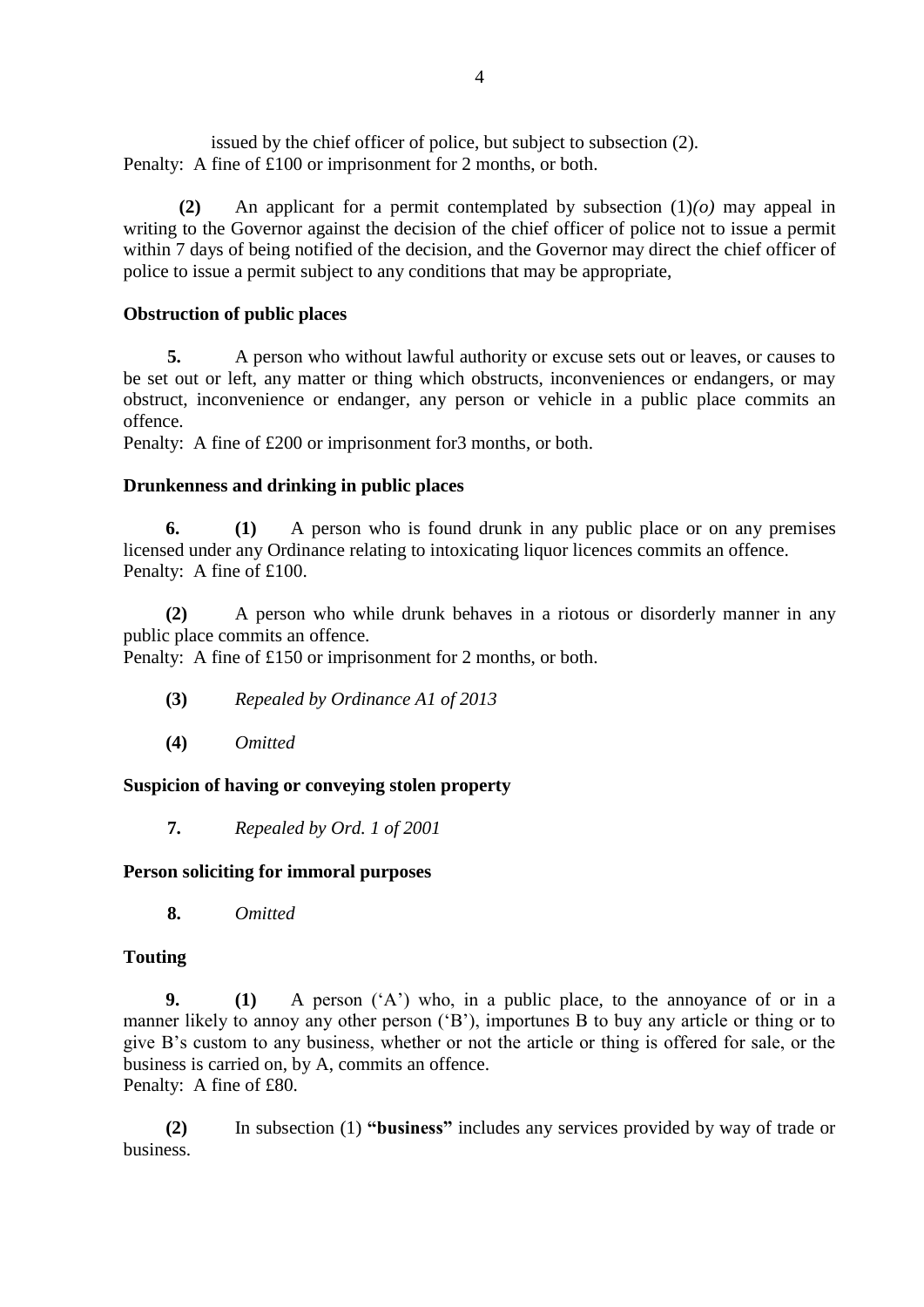issued by the chief officer of police, but subject to subsection (2). Penalty: A fine of £100 or imprisonment for 2 months, or both.

**(2)** An applicant for a permit contemplated by subsection (1)*(o)* may appeal in writing to the Governor against the decision of the chief officer of police not to issue a permit within 7 days of being notified of the decision, and the Governor may direct the chief officer of police to issue a permit subject to any conditions that may be appropriate,

# **Obstruction of public places**

**5.** A person who without lawful authority or excuse sets out or leaves, or causes to be set out or left, any matter or thing which obstructs, inconveniences or endangers, or may obstruct, inconvenience or endanger, any person or vehicle in a public place commits an offence.

Penalty: A fine of £200 or imprisonment for3 months, or both.

### **Drunkenness and drinking in public places**

**6. (1)** A person who is found drunk in any public place or on any premises licensed under any Ordinance relating to intoxicating liquor licences commits an offence. Penalty: A fine of £100.

**(2)** A person who while drunk behaves in a riotous or disorderly manner in any public place commits an offence.

Penalty: A fine of £150 or imprisonment for 2 months, or both.

- **(3)** *Repealed by Ordinance A1 of 2013*
- **(4)** *Omitted*

### **Suspicion of having or conveying stolen property**

**7.** *Repealed by Ord. 1 of 2001*

### **Person soliciting for immoral purposes**

**8.** *Omitted*

### **Touting**

**9. (1)** A person ('A') who, in a public place, to the annoyance of or in a manner likely to annoy any other person ('B'), importunes B to buy any article or thing or to give B's custom to any business, whether or not the article or thing is offered for sale, or the business is carried on, by A, commits an offence. Penalty: A fine of £80.

**(2)** In subsection (1) **"business"** includes any services provided by way of trade or business.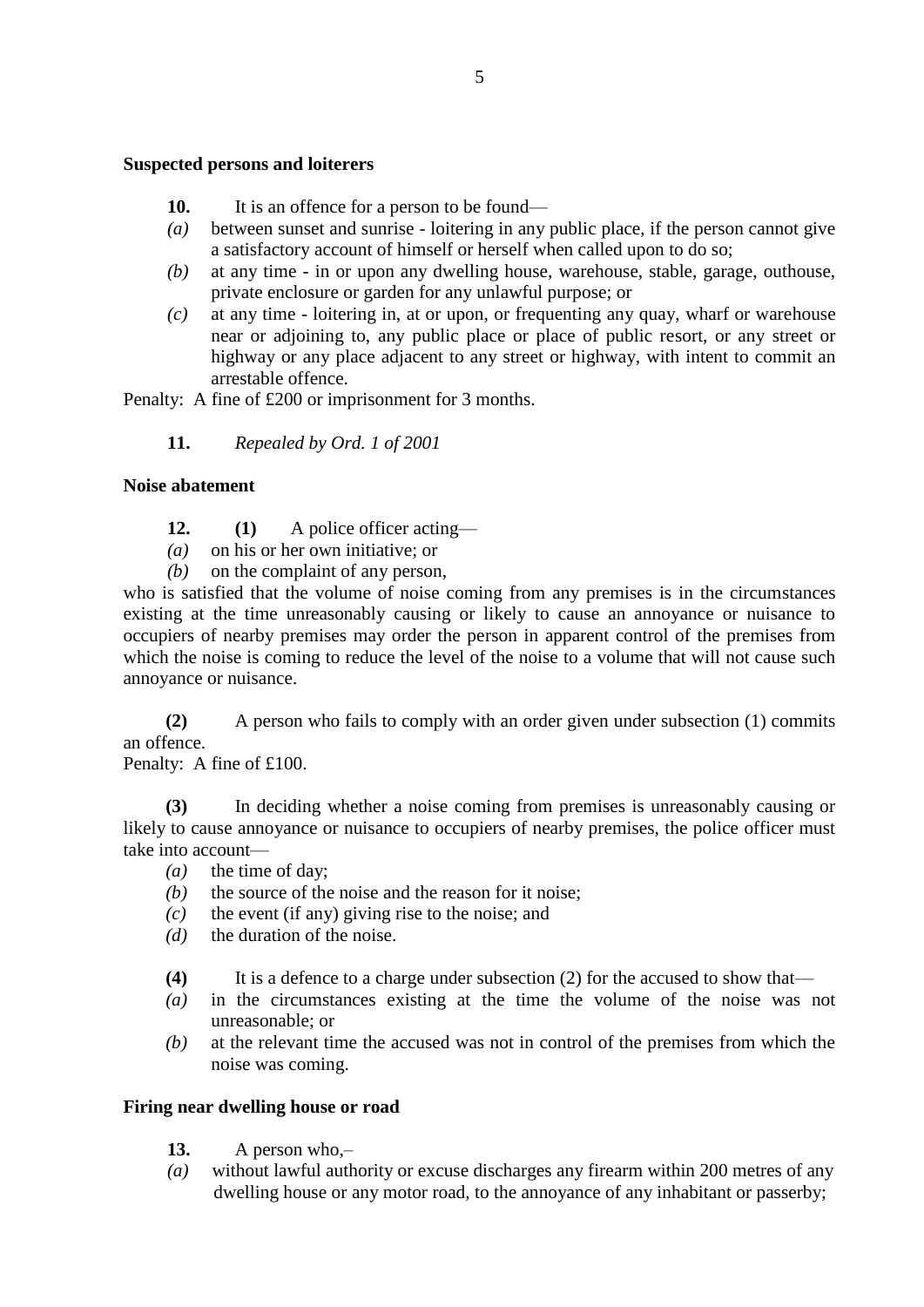#### **Suspected persons and loiterers**

- 10. It is an offence for a person to be found—
- *(a)* between sunset and sunrise loitering in any public place, if the person cannot give a satisfactory account of himself or herself when called upon to do so;
- *(b)* at any time in or upon any dwelling house, warehouse, stable, garage, outhouse, private enclosure or garden for any unlawful purpose; or
- *(c)* at any time loitering in, at or upon, or frequenting any quay, wharf or warehouse near or adjoining to, any public place or place of public resort, or any street or highway or any place adjacent to any street or highway, with intent to commit an arrestable offence.

Penalty: A fine of £200 or imprisonment for 3 months.

**11.** *Repealed by Ord. 1 of 2001*

### **Noise abatement**

- **12. (1)** A police officer acting—
- *(a)* on his or her own initiative; or
- *(b)* on the complaint of any person,

who is satisfied that the volume of noise coming from any premises is in the circumstances existing at the time unreasonably causing or likely to cause an annoyance or nuisance to occupiers of nearby premises may order the person in apparent control of the premises from which the noise is coming to reduce the level of the noise to a volume that will not cause such annoyance or nuisance.

**(2)** A person who fails to comply with an order given under subsection (1) commits an offence.

Penalty: A fine of £100.

**(3)** In deciding whether a noise coming from premises is unreasonably causing or likely to cause annoyance or nuisance to occupiers of nearby premises, the police officer must take into account—

- *(a)* the time of day;
- *(b)* the source of the noise and the reason for it noise;
- *(c)* the event (if any) giving rise to the noise; and
- *(d)* the duration of the noise.
- **(4)** It is a defence to a charge under subsection (2) for the accused to show that—
- *(a)* in the circumstances existing at the time the volume of the noise was not unreasonable; or
- *(b)* at the relevant time the accused was not in control of the premises from which the noise was coming.

### **Firing near dwelling house or road**

- **13.** A person who,–
- *(a)* without lawful authority or excuse discharges any firearm within 200 metres of any dwelling house or any motor road, to the annoyance of any inhabitant or passerby;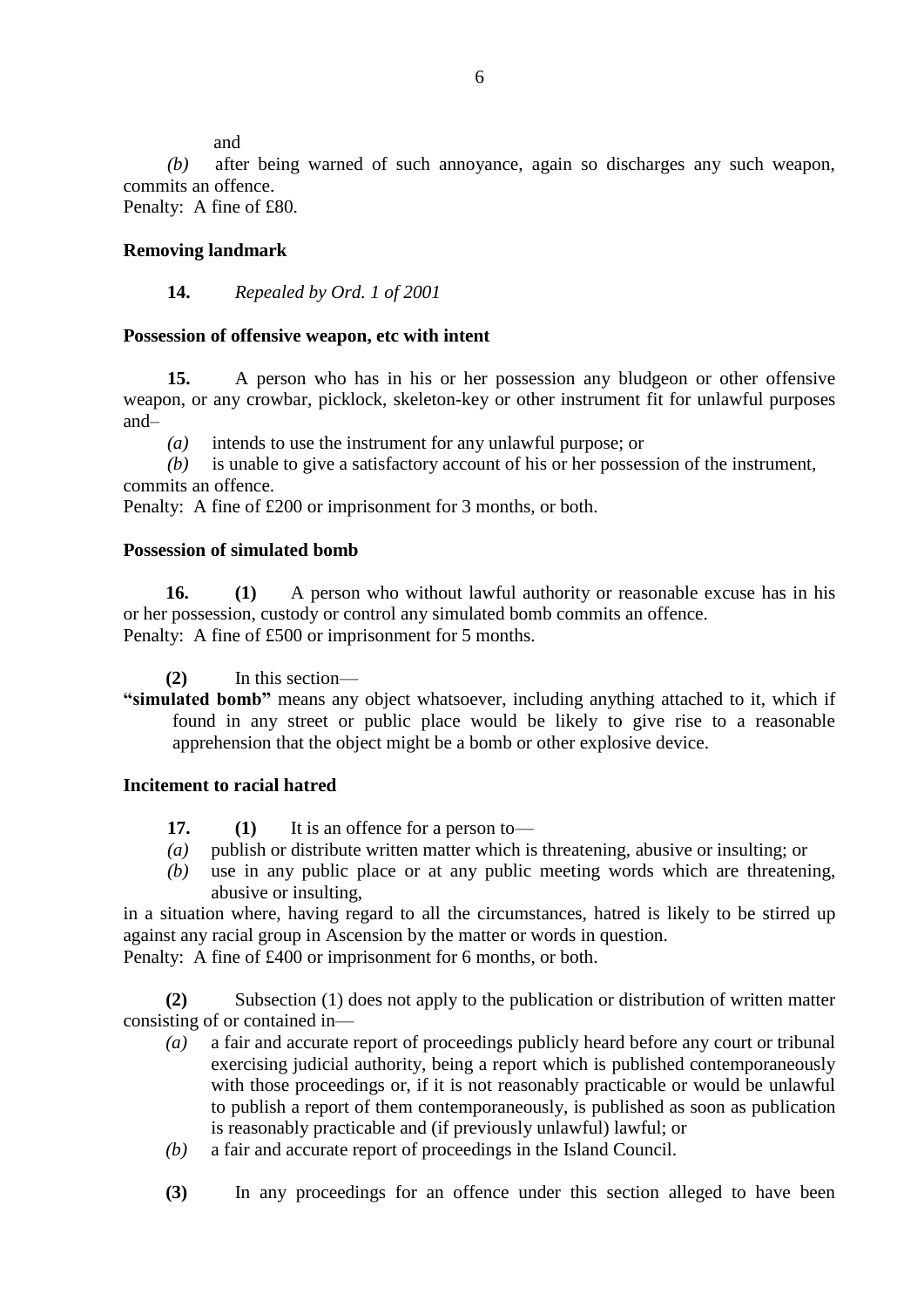and

*(b)* after being warned of such annoyance, again so discharges any such weapon, commits an offence.

Penalty: A fine of £80.

# **Removing landmark**

## **14.** *Repealed by Ord. 1 of 2001*

## **Possession of offensive weapon, etc with intent**

**15.** A person who has in his or her possession any bludgeon or other offensive weapon, or any crowbar, picklock, skeleton-key or other instrument fit for unlawful purposes and–

*(a)* intends to use the instrument for any unlawful purpose; or

*(b)* is unable to give a satisfactory account of his or her possession of the instrument, commits an offence.

Penalty: A fine of £200 or imprisonment for 3 months, or both.

## **Possession of simulated bomb**

**16. (1)** A person who without lawful authority or reasonable excuse has in his or her possession, custody or control any simulated bomb commits an offence. Penalty: A fine of £500 or imprisonment for 5 months.

**(2)** In this section—

**"simulated bomb"** means any object whatsoever, including anything attached to it, which if found in any street or public place would be likely to give rise to a reasonable apprehension that the object might be a bomb or other explosive device.

### **Incitement to racial hatred**

- **17. (1)** It is an offence for a person to—
- *(a)* publish or distribute written matter which is threatening, abusive or insulting; or
- *(b)* use in any public place or at any public meeting words which are threatening, abusive or insulting,

in a situation where, having regard to all the circumstances, hatred is likely to be stirred up against any racial group in Ascension by the matter or words in question.

Penalty: A fine of £400 or imprisonment for 6 months, or both.

**(2)** Subsection (1) does not apply to the publication or distribution of written matter consisting of or contained in—

- *(a)* a fair and accurate report of proceedings publicly heard before any court or tribunal exercising judicial authority, being a report which is published contemporaneously with those proceedings or, if it is not reasonably practicable or would be unlawful to publish a report of them contemporaneously, is published as soon as publication is reasonably practicable and (if previously unlawful) lawful; or
- *(b)* a fair and accurate report of proceedings in the Island Council.
- **(3)** In any proceedings for an offence under this section alleged to have been